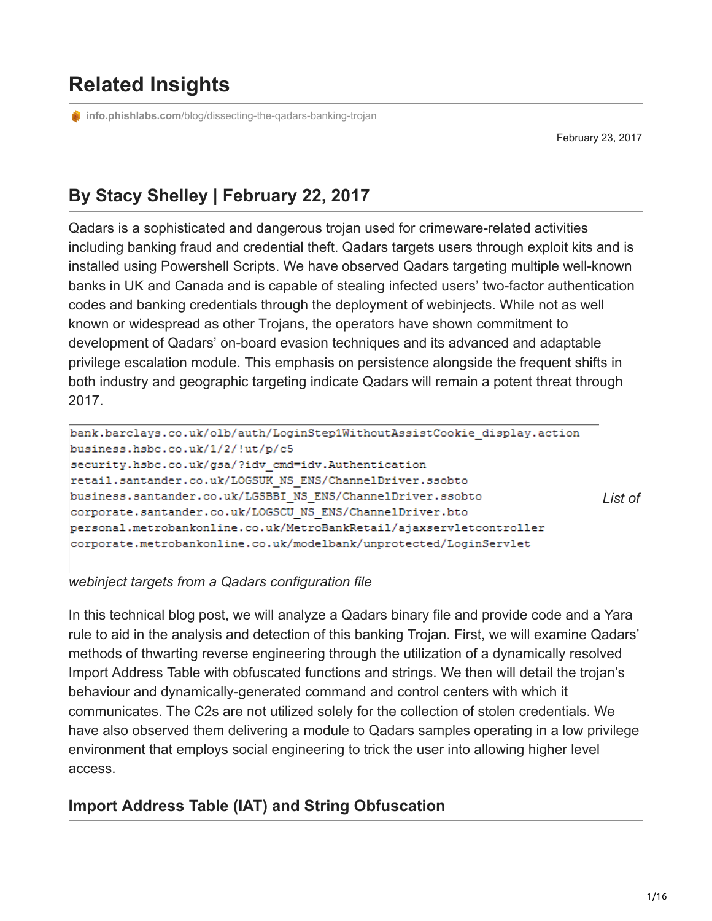# **Related Insights**

**info.phishlabs.com**[/blog/dissecting-the-qadars-banking-trojan](https://info.phishlabs.com/blog/dissecting-the-qadars-banking-trojan)

February 23, 2017

## **By Stacy Shelley | February 22, 2017**

Qadars is a sophisticated and dangerous trojan used for crimeware-related activities including banking fraud and credential theft. Qadars targets users through exploit kits and is installed using Powershell Scripts. We have observed Qadars targeting multiple well-known banks in UK and Canada and is capable of stealing infected users' two-factor authentication codes and banking credentials through the [deployment of webinjects](https://securityintelligence.com/meanwhile-britain-qadars-v3-hardens-evasion-targets-18-uk-banks/). While not as well known or widespread as other Trojans, the operators have shown commitment to development of Qadars' on-board evasion techniques and its advanced and adaptable privilege escalation module. This emphasis on persistence alongside the frequent shifts in both industry and geographic targeting indicate Qadars will remain a potent threat through 2017.

bank.barclays.co.uk/olb/auth/LoginStep1WithoutAssistCookie display.action business.hsbc.co.uk/1/2/!ut/p/c5 security.hsbc.co.uk/gsa/?idv\_cmd=idv.Authentication retail.santander.co.uk/LOGSUK NS ENS/ChannelDriver.ssobto business.santander.co.uk/LGSBBI NS ENS/ChannelDriver.ssobto *List of* corporate.santander.co.uk/LOGSCU NS ENS/ChannelDriver.bto personal.metrobankonline.co.uk/MetroBankRetail/ajaxservletcontroller corporate.metrobankonline.co.uk/modelbank/unprotected/LoginServlet

#### *webinject targets from a Qadars configuration file*

In this technical blog post, we will analyze a Qadars binary file and provide code and a Yara rule to aid in the analysis and detection of this banking Trojan. First, we will examine Qadars' methods of thwarting reverse engineering through the utilization of a dynamically resolved Import Address Table with obfuscated functions and strings. We then will detail the trojan's behaviour and dynamically-generated command and control centers with which it communicates. The C2s are not utilized solely for the collection of stolen credentials. We have also observed them delivering a module to Qadars samples operating in a low privilege environment that employs social engineering to trick the user into allowing higher level access.

#### **Import Address Table (IAT) and String Obfuscation**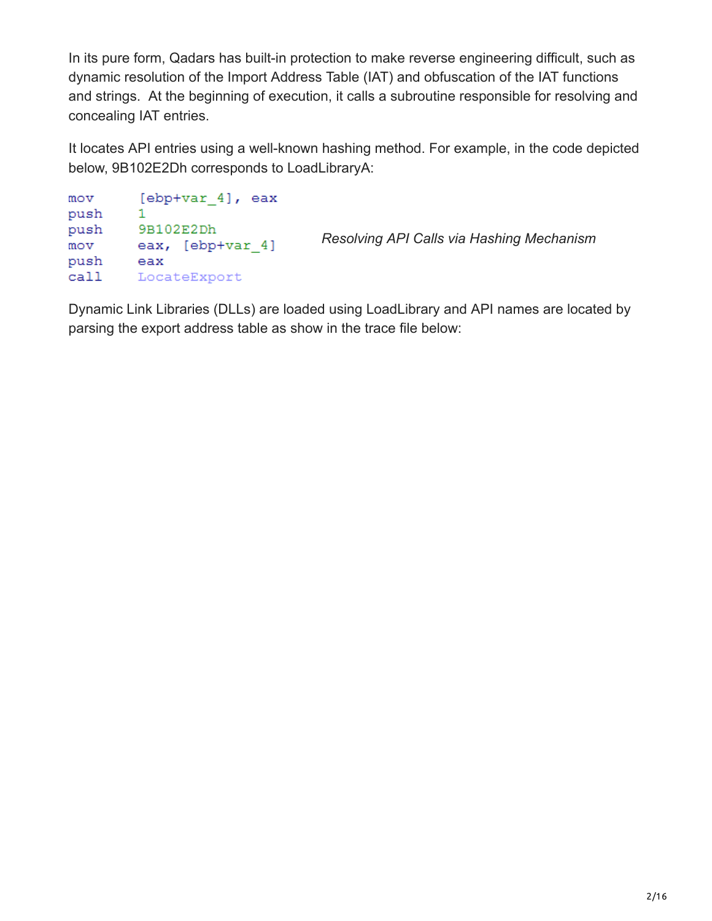In its pure form, Qadars has built-in protection to make reverse engineering difficult, such as dynamic resolution of the Import Address Table (IAT) and obfuscation of the IAT functions and strings. At the beginning of execution, it calls a subroutine responsible for resolving and concealing IAT entries.

It locates API entries using a well-known hashing method. For example, in the code depicted below, 9B102E2Dh corresponds to LoadLibraryA:

```
[ebp+var 4], eax
mov
push
        1.
        9B102E2Dh
push
                               Resolving API Calls via Hashing Mechanism
        eax, [ebp+var_4]
mov
push
        eax
call
       LocateExport
```
Dynamic Link Libraries (DLLs) are loaded using LoadLibrary and API names are located by parsing the export address table as show in the trace file below: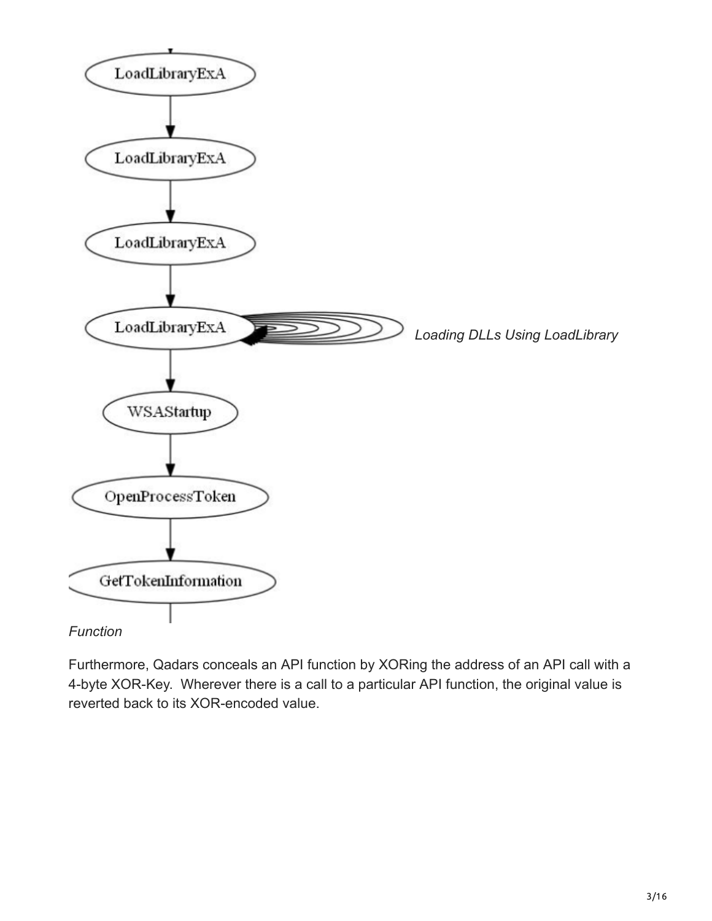

Furthermore, Qadars conceals an API function by XORing the address of an API call with a 4-byte XOR-Key. Wherever there is a call to a particular API function, the original value is reverted back to its XOR-encoded value.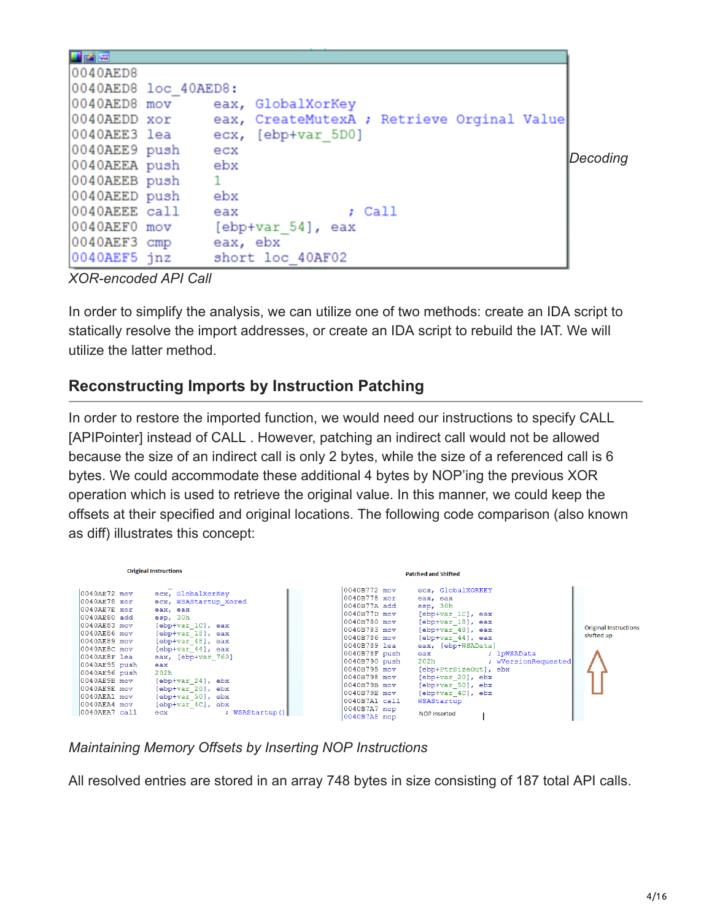| 日凶国<br>0040AED8<br>0040AED8 loc 40AED8:<br>0040AED8 mov<br>0040AEDD xor<br>0040AEE3 lea |          | eax, GlobalXorKey<br>eax, CreateMutexA ; Retrieve Orginal Value<br>ecx, [ebp+var 5D0] |          |
|-----------------------------------------------------------------------------------------|----------|---------------------------------------------------------------------------------------|----------|
|                                                                                         |          |                                                                                       |          |
| 0040AEE9 push                                                                           | ecx      |                                                                                       |          |
| 0040AEEA push                                                                           | ebx      |                                                                                       | Decoding |
| 0040AEEB push                                                                           |          |                                                                                       |          |
| 0040AEED push                                                                           | ebx      |                                                                                       |          |
| 0040AEEE call                                                                           | eax      | $;$ Call                                                                              |          |
| 0040AEF0 mov                                                                            |          | $[ebp+var 54]$ , eax                                                                  |          |
| 0040AEF3 cmp                                                                            | eax, ebx |                                                                                       |          |
| 0040AEF5 jnz                                                                            |          | short loc 40AF02                                                                      |          |

*XOR-encoded API Call*

In order to simplify the analysis, we can utilize one of two methods: create an IDA script to statically resolve the import addresses, or create an IDA script to rebuild the IAT. We will utilize the latter method.

## **Reconstructing Imports by Instruction Patching**

In order to restore the imported function, we would need our instructions to specify CALL [APIPointer] instead of CALL . However, patching an indirect call would not be allowed because the size of an indirect call is only 2 bytes, while the size of a referenced call is 6 bytes. We could accommodate these additional 4 bytes by NOP'ing the previous XOR operation which is used to retrieve the original value. In this manner, we could keep the offsets at their specified and original locations. The following code comparison (also known as diff) illustrates this concept:

|                                                                                                                                                                                                                                                                              | <b>Original Instructions</b>                                                                                                                                                                                                                                                                                            | <b>Patched and Shifted</b>                                                                                                                                                                                                                                                                                                                                                                                                                                                                                                                                                                                                        |                                            |
|------------------------------------------------------------------------------------------------------------------------------------------------------------------------------------------------------------------------------------------------------------------------------|-------------------------------------------------------------------------------------------------------------------------------------------------------------------------------------------------------------------------------------------------------------------------------------------------------------------------|-----------------------------------------------------------------------------------------------------------------------------------------------------------------------------------------------------------------------------------------------------------------------------------------------------------------------------------------------------------------------------------------------------------------------------------------------------------------------------------------------------------------------------------------------------------------------------------------------------------------------------------|--------------------------------------------|
| 0040AE72 mov<br>$0040$ AE $78$ xor<br>$0040$ AE $7$ E xor<br>0040AE80 add<br>0040AE83 mov<br>0040AE86 mov<br>0040AE89 mov<br>0040AE8C mov<br>0040AE8F lea<br>0040AE95 push<br>0040AE96 push<br>0040AE9B mov<br>0040AE9E mov<br>0040AEA1 mov<br>0040AEA4 mov<br>0040AEA7 call | ecx, GlobalXorKey<br>ecx, WSAStartup Xored<br>eax, eax<br>esp, 30h<br>[ebp+var 1C], eax<br>[ebp+var 18], eax<br>[ebp+var 48], eax<br>[ebp+var 44], eax<br>eax, [ebp+var 760]<br>eax<br>202 <sub>h</sub><br>$[ebp+var 24]$ , ebx<br>[ebp+var 20], ebx<br>[ebp+var 50], ebx<br>[ebp+var 4C], ebx<br>; WSAStartup()<br>ecx | 0040B772 mov<br>ecx, GlobalXORKEY<br>0040B778 xor<br>eax, eax<br>0040B77A add<br>esp, 30h<br>0040B77D mov<br>[ebp+var 1C], eax<br>0040B780 mov<br>$[ebp+var 18]$ , eax<br>0040B783 mov<br>[ebp+var 48], eax<br>0040B786 mov<br>$[ebp+var 44]$ , eax<br> 0040B789 lea<br>eax, [ebp+WSAData]<br>0040B78F push<br>; lpWSAData<br>eax<br>0040B790 push<br>202h<br>; wVersionRequested<br>0040B795 mov<br>[ebp+PtrSizeOut], ebx<br>0040B798 mov<br>[ebp+var 20], ebx<br>0040B79B mov<br>[ebp+var 50], ebx<br>0040B79E mov<br>[ebp+var 4C], ebx<br>0040B7A1 call<br>WSAStartup<br>$0040B7A7$ nop<br><b>NOP Inserted</b><br>0040B7A8 nop | <b>Original Instructions</b><br>shifted up |

*Maintaining Memory Offsets by Inserting NOP Instructions*

All resolved entries are stored in an array 748 bytes in size consisting of 187 total API calls.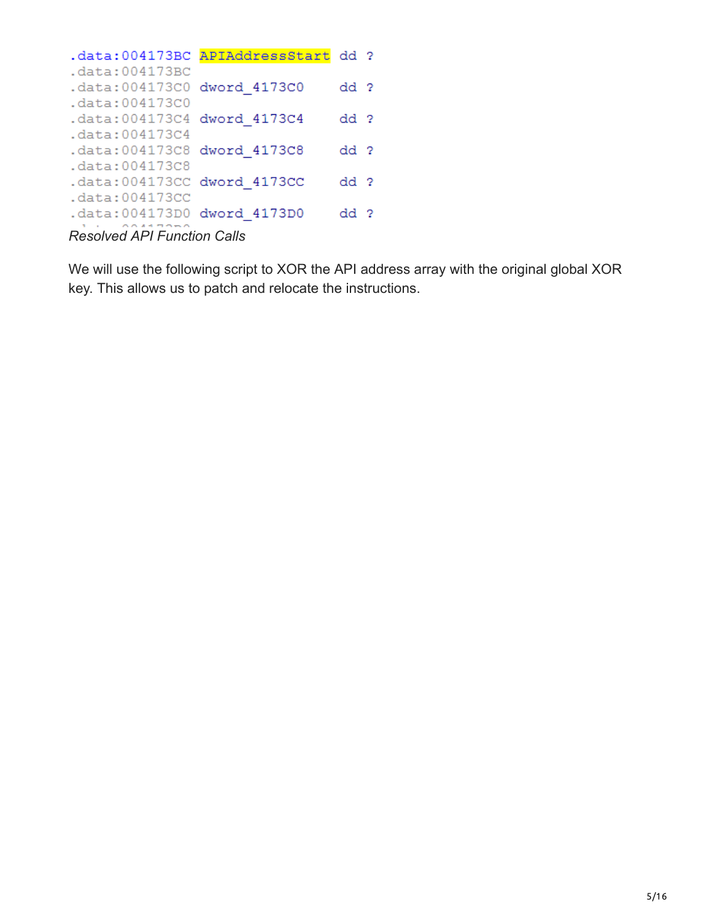|                                                                 | .data:004173BC APIAddressStart dd ? |                 |  |
|-----------------------------------------------------------------|-------------------------------------|-----------------|--|
| .data:004173BC                                                  |                                     |                 |  |
| .data:004173C0 dword 4173C0                                     |                                     | dd ?            |  |
| .data:004173C0                                                  |                                     |                 |  |
| .data:004173C4 dword 4173C4                                     |                                     | dd ?            |  |
| .data:004173C4                                                  |                                     |                 |  |
| .data:004173C8 dword 4173C8                                     |                                     | dd <sub>2</sub> |  |
| .data: 004173C8                                                 |                                     |                 |  |
| .data:004173CC dword 4173CC                                     |                                     | dd ?            |  |
| .data:004173CC                                                  |                                     |                 |  |
| .data:004173D0 dword 4173D0                                     |                                     | dd ?            |  |
| $D_{\text{sc}}$ but and $ADL$ $E_{\text{c}}$ and $D_{\text{c}}$ |                                     |                 |  |

*Resolved API Function Calls*

We will use the following script to XOR the API address array with the original global XOR key. This allows us to patch and relocate the instructions.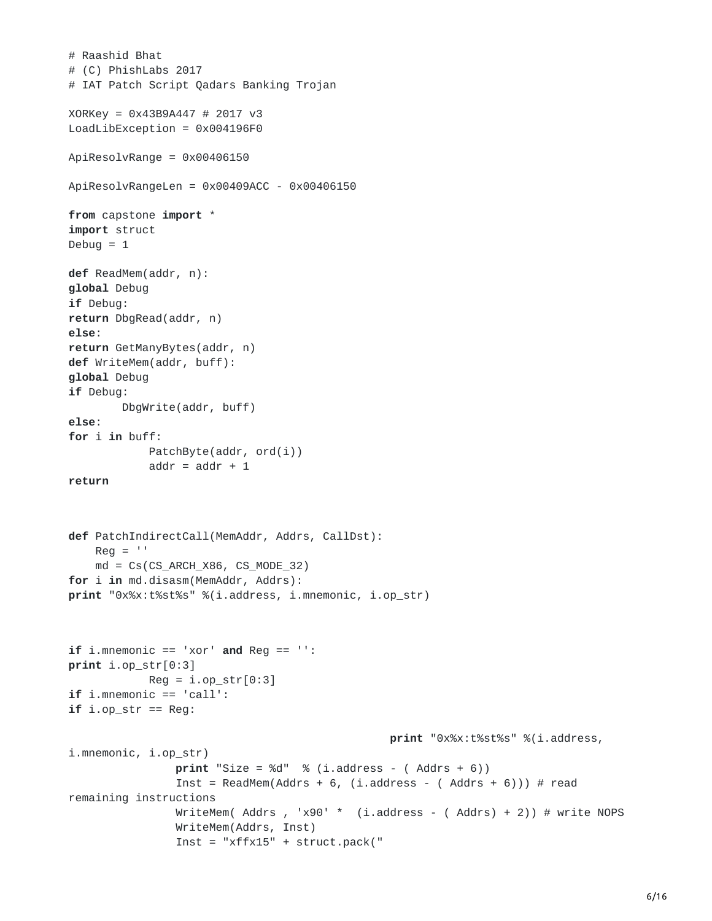```
# Raashid Bhat
# (C) PhishLabs 2017
# IAT Patch Script Qadars Banking Trojan
XORKey = 0x43B9A447 # 2017 v3
LoadLibException = 0x004196F0
ApiResolvRange = 0x00406150
ApiResolvRangeLen = 0x00409ACC - 0x00406150
from capstone import *
import struct
Debug = 1def ReadMem(addr, n):
global Debug
if Debug:
return DbgRead(addr, n)
else:
return GetManyBytes(addr, n)
def WriteMem(addr, buff):
global Debug
if Debug:
        DbgWrite(addr, buff)
else:
for i in buff:
            PatchByte(addr, ord(i))
            addr = addr + 1return
def PatchIndirectCall(MemAddr, Addrs, CallDst):
    \text{Reg} = \text{''}md = CS(CS_ARCH_X86, CS_MODE_32)for i in md.disasm(MemAddr, Addrs):
print "0x%x:t%st%s" %(i.address, i.mnemonic, i.op_str)
if i.mnemonic == 'xor' and Reg == '':
print i.op_str[0:3]
            Reg = i.op\_str[0:3]if i.mnemonic == 'call':
if i. op_{\text{str}} == Reg:
                                                 print "0x%x:t%st%s" %(i.address,
i.mnemonic, i.op_str)
                print "Size = %d" % (i.address - (Address + 6))Inst = ReadMem(Addrs + 6, (i.address - (Addrs + 6))) # read
remaining instructions
                WriteMem( Addrs, 'x90' * (i.address - ( Addrs) + 2)) # write NOPS
                WriteMem(Addrs, Inst)
                Inst = "xffx15" + struct.pack("
```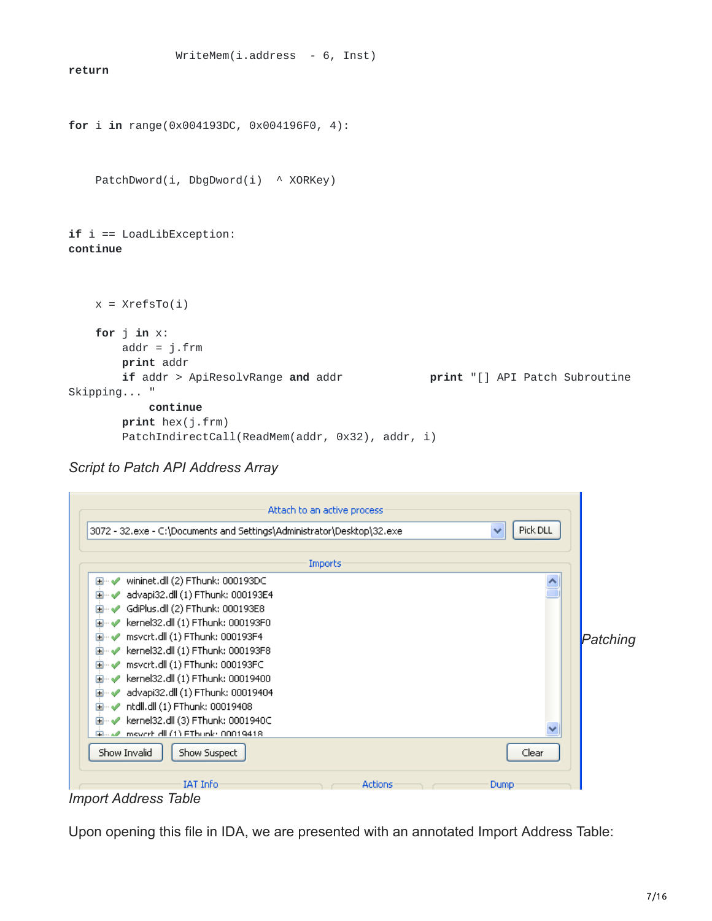```
WriteMem(i.address - 6, Inst)
return
for i in range(0x004193DC, 0x004196F0, 4):
   PatchDword(i, DbgDword(i) ^ XORKey)
if i == LoadLibException:
continue
   x = XrefSTo(i)for j in x:
       addr = j.frm
       print addr
       if addr > ApiResolvRange and addr print "[] API Patch Subroutine
Skipping... "
           continue
       print hex(j.frm)
       PatchIndirectCall(ReadMem(addr, 0x32), addr, i)
```
*Script to Patch API Address Array*



Upon opening this file in IDA, we are presented with an annotated Import Address Table: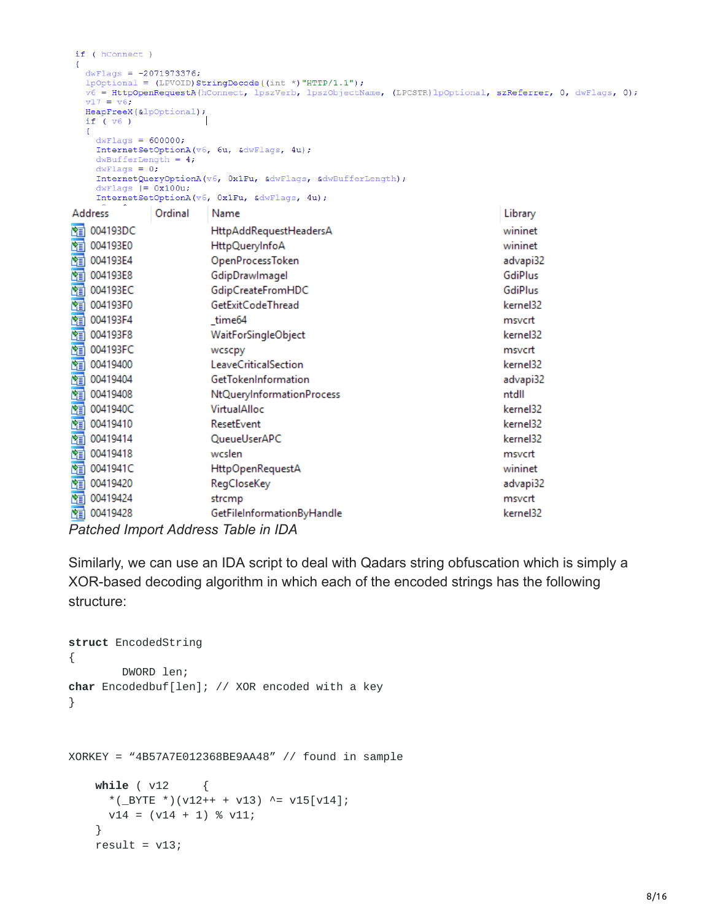```
if ( hConnect )
€
  dwFlags = -2071973376;1pOptional = (LPVOID) StringDecode((int *) "HTTP/1.1");
  v6 = HttpOpenRequestA(hConnect, lpszVerb, lpszObjectName, (LPCSTR)lpOptional, szReferrer, 0, dwFlags, 0);
  v17 = v6;
  HeapFreeX(&lpOptional);
  if (v6)dwFlags = 600000;InternetSetOptionA(v6, 6u, &dwFlags, 4u);
    dwBufferLength = 4;dwFlags = 0;InternetQueryOptionA(v6, 0x1Fu, &dwFlags, &dwBufferLength);
    dwFlags |= 0x100u;InternetSetOptionA(v6, 0x1Fu, &dwFlags, 4u);
               Ordinal
                                                                                  Library
Address
                          Name
图 004193DC
                          HttpAddRequestHeadersA
                                                                                  wininet
图 004193E0
                          HttpQueryInfoA
                                                                                  wininet
图 004193E4
                          OpenProcessToken
                                                                                  advapi32
图 004193E8
                                                                                  GdiPlus
                          GdipDrawlmagel
图 004193EC
                                                                                  GdiPlus
                          GdipCreateFromHDC
图 004193F0
                          GetExitCodeThread
                                                                                  kernel32
图 004193F4
                                                                                  msvcrt
                          _time64
图 004193F8
                          WaitForSingleObject
                                                                                  kernel32
图 004193FC
                          wcscpy
                                                                                  msvcrt
图 00419400
                          LeaveCriticalSection
                                                                                  kernel32
图 00419404
                          GetTokenInformation
                                                                                  advapi32
图 00419408
                          NtQueryInformationProcess
                                                                                  ntdll
图 0041940C
                          VirtualAlloc
                                                                                  kernel32
                          ResetEvent
                                                                                  kernel32
图 00419410
                          QueueUserAPC
图 00419414
                                                                                  kernel32
图 00419418
                          wcslen
                                                                                  msvcrt
图 0041941C
                          HttpOpenRequestA
                                                                                  wininet
图 00419420
                          RegCloseKey
                                                                                  advapi32
图 00419424
                          strcmp
                                                                                  msvcrt
图 00419428
                          GetFileInformationByHandle
                                                                                  kernel32
```

```
Patched Import Address Table in IDA
```
Similarly, we can use an IDA script to deal with Qadars string obfuscation which is simply a XOR-based decoding algorithm in which each of the encoded strings has the following structure:

```
struct EncodedString
{
        DWORD len;
char Encodedbuf[len]; // XOR encoded with a key
}
XORKEY = "4B57A7E012368BE9AA48" // found in sample
    while ( v12 {
      *(_BYTE *)(v12++ + v13) ^= v15[v14];
      v14 = (v14 + 1) % v11;}
    result = v13;
```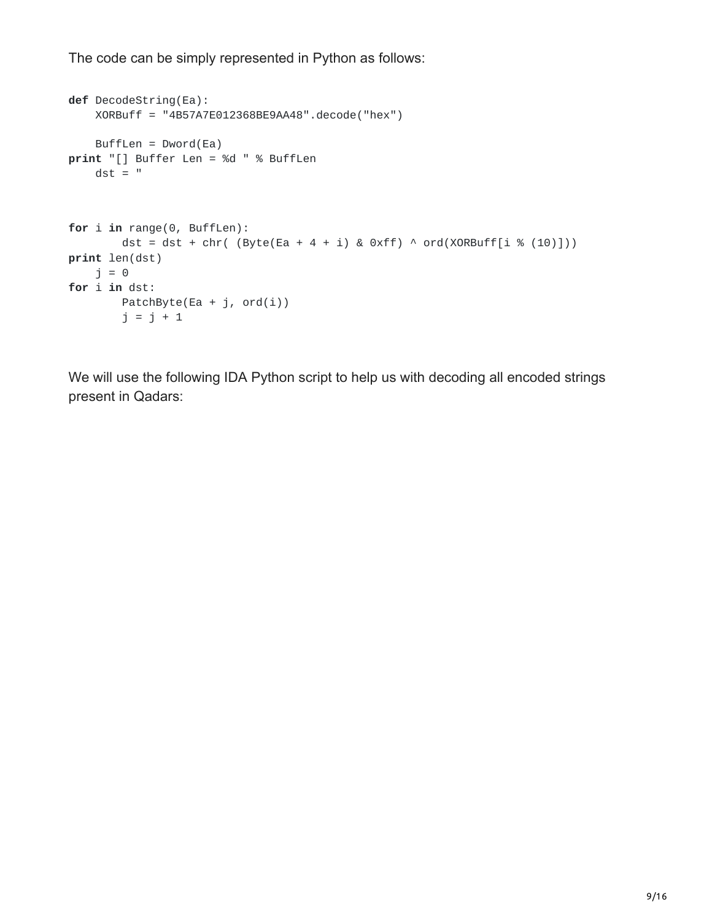The code can be simply represented in Python as follows:

```
def DecodeString(Ea):
    XORBuff = "4B57A7E012368BE9AA48".decode("hex")
    Buffer = Dword(Ea)print "[] Buffer Len = %d " % BuffLen
    dst = "for i in range(0, BuffLen):
        dst = dst + chr( (Byte(Ea + 4 + i) & 0 \times f) ^ ord(XORBuff[i % (10)]))
print len(dst)
    j = 0for i in dst:
        PatchByte(Ea + j, ord(i))
        j = j + 1
```
We will use the following IDA Python script to help us with decoding all encoded strings present in Qadars: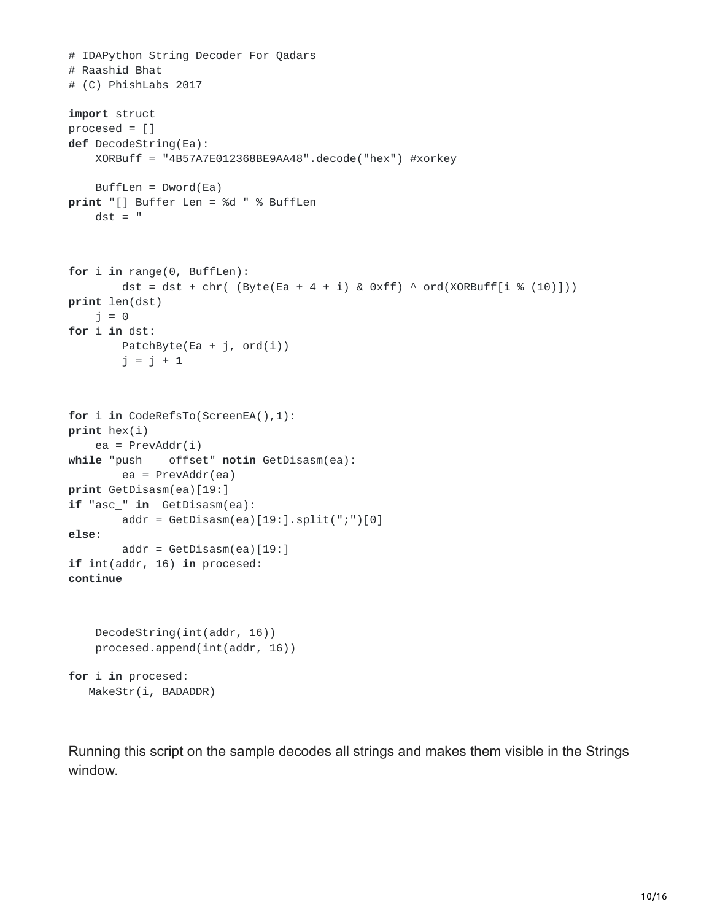```
# IDAPython String Decoder For Qadars
# Raashid Bhat
# (C) PhishLabs 2017
import struct
procesed = []def DecodeString(Ea):
    XORBuff = "4B57A7E012368BE9AA48".decode("hex") #xorkey
    Buffer = Dword(Ea)print "[] Buffer Len = %d " % BuffLen
   dst = "for i in range(0, BuffLen):
        dst = dst + chr( (Byte(Ea + 4 + i) & 0 \times f) ^ ord(XORBuff[i % (10)]))
print len(dst)
   j = 0for i in dst:
        PatchByte(Ea + j, ord(i))
        j = j + 1for i in CodeRefsTo(ScreenEA(),1):
print hex(i)
    ea = PrevAddr(i)
while "push offset" notin GetDisasm(ea):
        ea = PrevAddr(ea)
print GetDisasm(ea)[19:]
if "asc_" in GetDisasm(ea):
        addr = GetDisasm(ea)[19:].split(";")[0]else:
        addr = GetDisasm(ea)[19:]
if int(addr, 16) in procesed:
continue
    DecodeString(int(addr, 16))
    procesed.append(int(addr, 16))
for i in procesed:
```
MakeStr(i, BADADDR)

Running this script on the sample decodes all strings and makes them visible in the Strings window.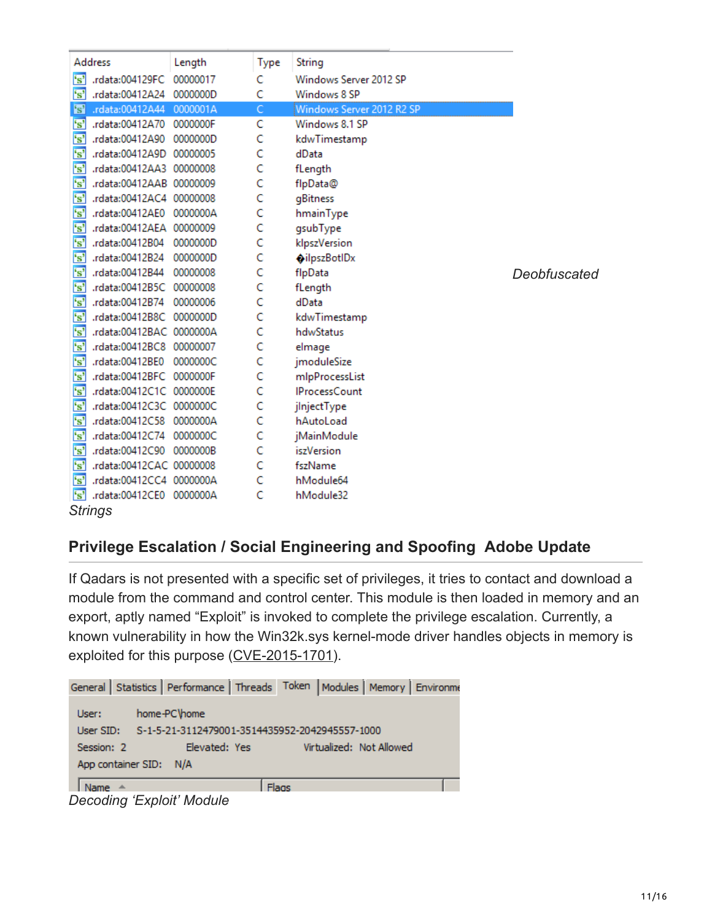| Address                 |                          |        |      | String                    |              |
|-------------------------|--------------------------|--------|------|---------------------------|--------------|
|                         |                          | Length | Type |                           |              |
| 's'                     | .rdata:004129FC 00000017 |        | Ċ    | Windows Server 2012 SP    |              |
| 's'                     | .rdata:00412A24 0000000D |        | C    | Windows 8 SP              |              |
| 's'                     | .rdata:00412A44 0000001A |        | C.   | Windows Server 2012 R2 SP |              |
| $\mathbf{s}$            | .rdata:00412A70 0000000F |        | Ċ    | Windows 8.1 SP            |              |
| 's'                     | .rdata:00412A90 0000000D |        | C    | kdwTimestamp              |              |
| 's'                     | .rdata:00412A9D 00000005 |        | Ċ    | dData                     |              |
| 's'                     | .rdata:00412AA3 00000008 |        | C    | fLength                   |              |
| 's'                     | .rdata:00412AAB 00000009 |        | C    | flpData@                  |              |
| 's'                     | .rdata:00412AC4 00000008 |        | C    | gBitness                  |              |
| 's'                     | .rdata:00412AE0 0000000A |        | c    | hmainType                 |              |
| $\overline{\mathbf{s}}$ | .rdata:00412AEA 00000009 |        | C    | qsubType                  |              |
| $\overline{\mathbf{s}}$ | .rdata:00412B04 0000000D |        | C    | klpszVersion              |              |
| $\overline{\mathbf{s}}$ | .rdata:00412B24 0000000D |        | C    | oilpszBotlDx              |              |
| $\overline{\mathbf{s}}$ | .rdata:00412B44 00000008 |        | C    | flpData                   | Deobfuscated |
| $\overline{\mathbf{s}}$ | .rdata:00412B5C 00000008 |        | C    | fLength                   |              |
| $\overline{\mathbf{s}}$ | .rdata:00412B74 00000006 |        | c    | dData                     |              |
| $\overline{\mathbf{s}}$ | .rdata:00412B8C 0000000D |        | c    | kdwTimestamp              |              |
| 's'                     | .rdata:00412BAC 0000000A |        | C    | hdwStatus                 |              |
| $\overline{\mathbf{s}}$ | .rdata:00412BC8 00000007 |        | c    | elmage                    |              |
| $\overline{\mathbf{s}}$ | .rdata:00412BE0 0000000C |        | C    | jmoduleSize               |              |
| $\overline{\mathbf{s}}$ | .rdata:00412BFC 0000000F |        | C    | mlpProcessList            |              |
| 's'                     | .rdata:00412C1C 0000000E |        | C    | <b>IProcessCount</b>      |              |
| r <sub>s</sub> '        | .rdata:00412C3C 0000000C |        | C    | jinjectType               |              |
| $\overline{\mathbf{s}}$ | .rdata:00412C58 0000000A |        | C    | hAutoLoad                 |              |
| 's'                     | .rdata:00412C74 0000000C |        | C    | jMainModule               |              |
| $\overline{\mathbf{s}}$ | .rdata:00412C90 0000000B |        | C    | <b>iszVersion</b>         |              |
| 's'                     | .rdata:00412CAC 00000008 |        | Ċ    | fszName                   |              |
| 's'                     | .rdata:00412CC4 0000000A |        | c    | hModule64                 |              |
| 's'                     | .rdata:00412CE0 0000000A |        | C    | hModule32                 |              |
|                         | <b>Strings</b>           |        |      |                           |              |

## **Privilege Escalation / Social Engineering and Spoofing Adobe Update**

If Qadars is not presented with a specific set of privileges, it tries to contact and download a module from the command and control center. This module is then loaded in memory and an export, aptly named "Exploit" is invoked to complete the privilege escalation. Currently, a known vulnerability in how the Win32k.sys kernel-mode driver handles objects in memory is exploited for this purpose [\(CVE-2015-1701](https://www.cve.mitre.org/cgi-bin/cvename.cgi?name=cve-2015-1701)).

```
General | Statistics | Performance | Threads | Token | Modules | Memory | Environme
 User:
             home-PC\home
             S-1-5-21-3112479001-3514435952-2042945557-1000
 User SID:
 Session: 2
                                               Virtualized: Not Allowed
                       Elevated: Yes
 App container SID: N/A
 Name \triangleFlags
```
*Decoding 'Exploit' Module*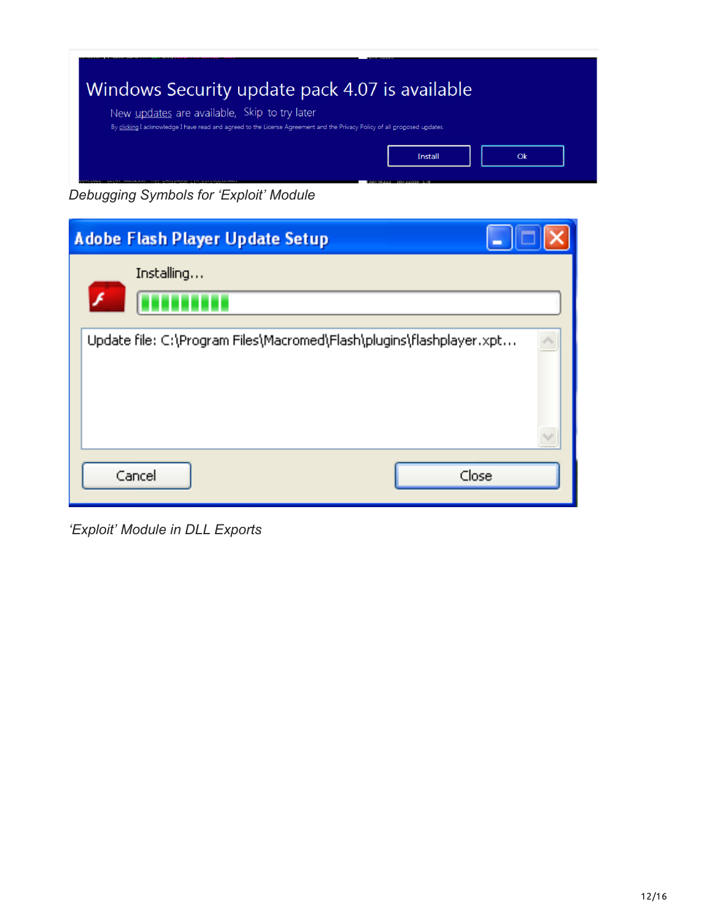

*Debugging Symbols for 'Exploit' Module*

| Adobe Flash Player Update Setup                                      |  |
|----------------------------------------------------------------------|--|
| Installing                                                           |  |
| Update file: C:\Program Files\Macromed\Flash\plugins\flashplayer.xpt |  |
| Close<br>Cancel                                                      |  |

*'Exploit' Module in DLL Exports*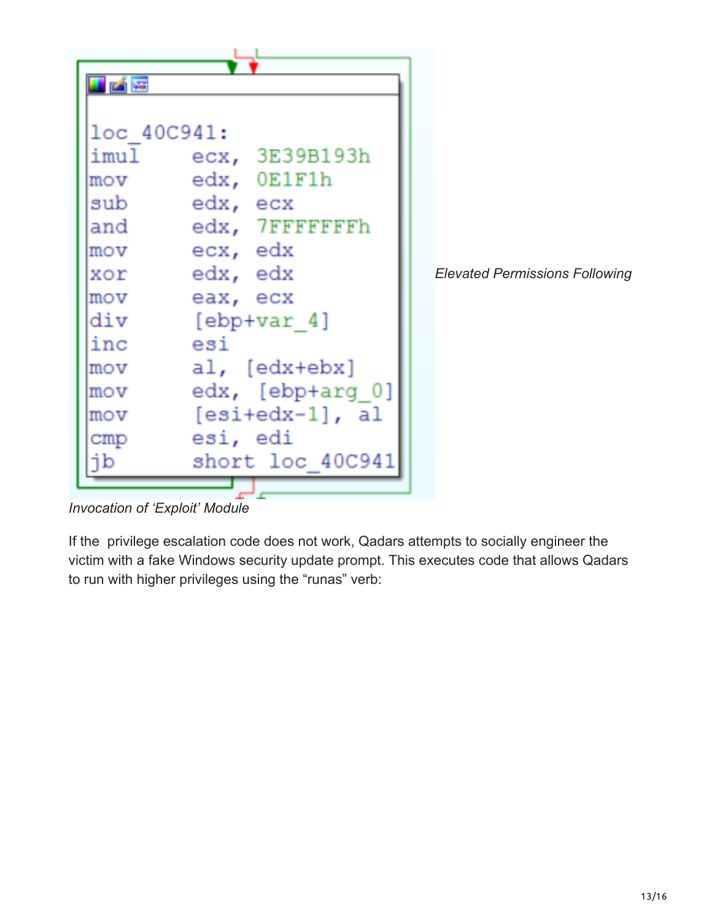

*Invocation of 'Exploit' Module*

If the privilege escalation code does not work, Qadars attempts to socially engineer the victim with a fake Windows security update prompt. This executes code that allows Qadars to run with higher privileges using the "runas" verb: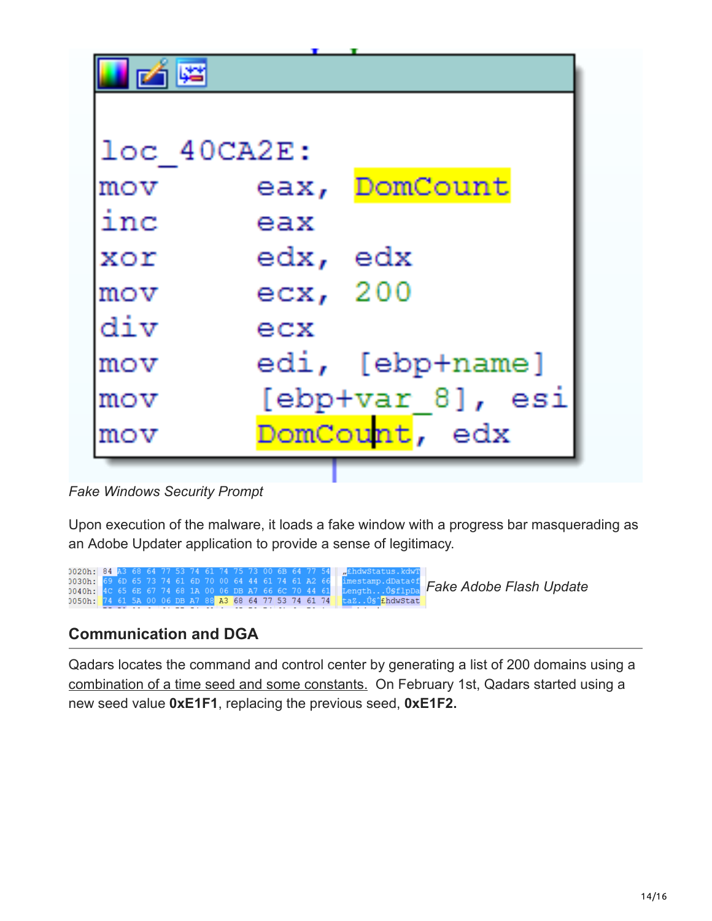| $loc$ 40 $CAZE$ : |          |                  |
|-------------------|----------|------------------|
| mov               |          | eax, DomCount    |
| inc               | eax      |                  |
| $X \cap Y$        | edx, edx |                  |
| $_{\text{mov}}$   | ecx, 200 |                  |
| div               | exc      |                  |
| mov               |          | edi, [ebp+name]  |
| mov               |          | [ebp+var 8], esi |
| mov               |          | DomCount, edx    |

*Fake Windows Security Prompt*

Upon execution of the malware, it loads a fake window with a progress bar masquerading as an Adobe Updater application to provide a sense of legitimacy.



## **Communication and DGA**

Qadars locates the command and control center by generating a list of 200 domains using a [combination of a time seed and some constants.](https://johannesbader.ch/2016/04/the-dga-of-qadars/) On February 1st, Qadars started using a new seed value **0xE1F1**, replacing the previous seed, **0xE1F2.**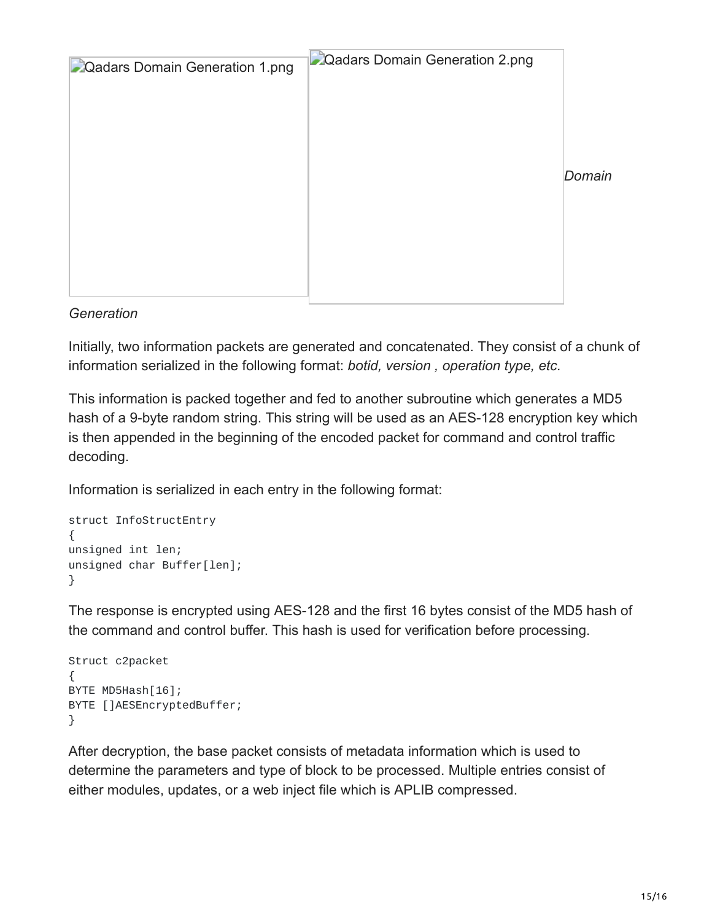| <b>D</b> Qadars Domain Generation 1.png | Qadars Domain Generation 2.png |        |
|-----------------------------------------|--------------------------------|--------|
|                                         |                                | Domain |
|                                         |                                |        |

#### *Generation*

Initially, two information packets are generated and concatenated. They consist of a chunk of information serialized in the following format: *botid, version , operation type, etc.*

This information is packed together and fed to another subroutine which generates a MD5 hash of a 9-byte random string. This string will be used as an AES-128 encryption key which is then appended in the beginning of the encoded packet for command and control traffic decoding.

Information is serialized in each entry in the following format:

```
struct InfoStructEntry
{
unsigned int len;
unsigned char Buffer[len];
}
```
The response is encrypted using AES-128 and the first 16 bytes consist of the MD5 hash of the command and control buffer. This hash is used for verification before processing.

```
Struct c2packet
{
BYTE MD5Hash[16];
BYTE []AESEncryptedBuffer;
}
```
After decryption, the base packet consists of metadata information which is used to determine the parameters and type of block to be processed. Multiple entries consist of either modules, updates, or a web inject file which is APLIB compressed.